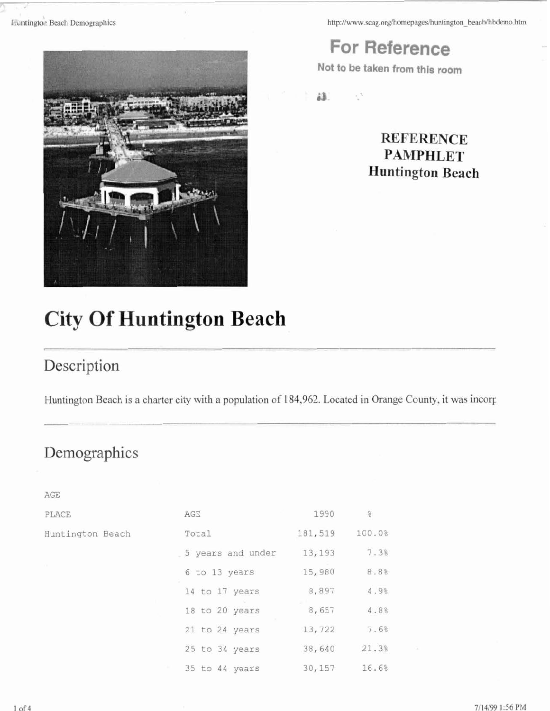**http://www.scag.org/homepages/huntington~beach/hbdemo.htm** 

**For Reference** 

**Not to be taken from this room** 

ä3.

ą3

 $\frac{9}{6}$ 

7.3%

8.8%

4.9%

4.8%

7.6%

21.3%

16.6%

### **REFERENCE PAMPHLET Huntington Beach**

# **City Of Huntington Beach**

## Description

Huntington Beach is a charter city with a population of 184,962. Located in Orange County, it was incorp

## Demographics

AGE PLACE AGE 1990 Huntington Beach Total 181,519 100.0% 5 years and under 13,193 6 to 13 years 15,980 14 to 17 years 8,897 18 to 20 years 8,657 21 to 24 years 13,722 25 to 34 years 38,640 35 to 44 years 30,157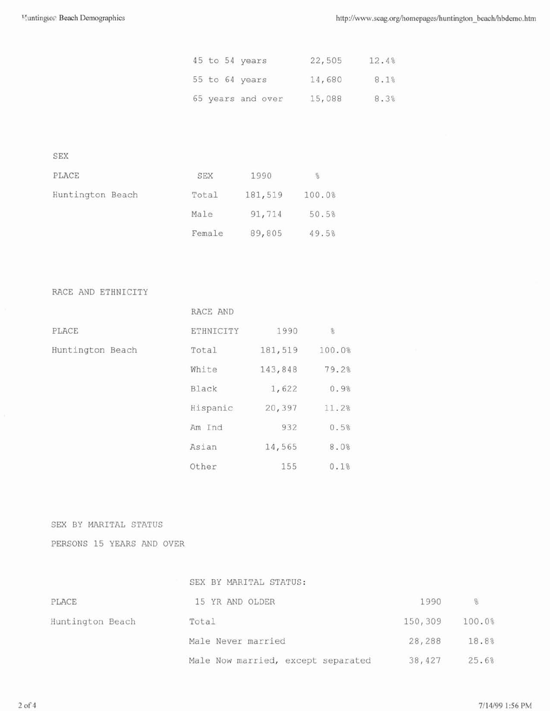|  | 45 to 54 years    | 22,505 | 12.4% |
|--|-------------------|--------|-------|
|  | 55 to 64 years    | 14,680 | 8.1%  |
|  | 65 years and over | 15,088 | 8.3%  |

SEX

| PLACE            | SEX    | 1990    | $\frac{0}{5}$ |
|------------------|--------|---------|---------------|
| Huntington Beach | Total  | 181,519 | 100.0%        |
|                  | Male   | 91,714  | 50.5%         |
|                  | Female | 89,805  | 49.5%         |

RACE AND ETHNICITY

|                  | RACE AND  |         |               |
|------------------|-----------|---------|---------------|
| PLACE            | ETHNICITY | 1990    | $\frac{9}{6}$ |
| Huntington Beach | Total     | 181,519 | 100.0%        |
|                  | White     | 143,848 | 79.2%         |
|                  | Black     | 1,622   | 0.9%          |
|                  | Hispanic  | 20,397  | 11.2%         |
|                  | Am Ind    | 932     | 0.5%          |
|                  | Asian     | 14,565  | 8.0%          |
|                  | Other     | 155     | 0.1%          |

SEX BY MARITAL STATUS

PERSONS 15 YEARS AND OVER

|                  | SEX BY MARITAL STATUS:             |         |        |
|------------------|------------------------------------|---------|--------|
| PLACE            | 15 YR AND OLDER                    | 1990    | 8      |
| Huntington Beach | Total                              | 150,309 | 100.0% |
|                  | Male Never married                 | 28,288  | 18.8%  |
|                  | Male Now married, except separated | 38,427  | 25.6%  |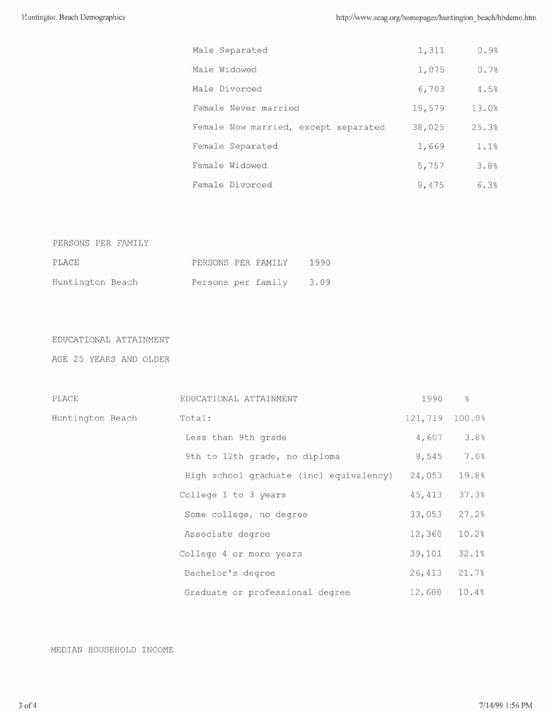| Male Separated                       | 1,311  | 0.9%  |
|--------------------------------------|--------|-------|
| Male Widowed                         | 1,075  | 0.7%  |
| Male Divorced                        | 6,703  | 4.5%  |
| Female Never married                 | 19,579 | 13.0% |
| Female Now married, except separated | 38,025 | 25.3% |
| Female Separated                     | 1,669  | 1.1%  |
| Female Widowed                       | 5,757  | 3.8%  |
| Female Divorced                      | 9.475  | 6.3%  |

| PERSONS PER FAMILY |                    |  |      |
|--------------------|--------------------|--|------|
| PLACE              | PERSONS PER FAMILY |  | 1990 |
| Huntington Beach   | Persons per family |  | 3.09 |

#### EDUCATIONAL ATTAINMENT

AGE 25 YEARS AND OLDER

| PLACE            | EDUCATIONAL ATTAINMENT                  | 1990    | $\frac{Q}{Q}$ |
|------------------|-----------------------------------------|---------|---------------|
| Huntington Beach | Total:                                  | 121,719 | 100.0%        |
|                  | Less than 9th grade                     | 4,607   | 3.8%          |
|                  | 9th to 12th grade, no diploma           | 8,545   | 7.0%          |
|                  | High school graduate (incl equivalency) | 24,053  | 19.8%         |
|                  | College 1 to 3 years                    | 45, 413 | 37.3%         |
|                  | Some college, no degree                 | 33,053  | 27.2%         |
|                  | Associate degree                        | 12,360  | 10.2%         |
|                  | College 4 or more years                 | 39,101  | 32.1%         |
|                  | Bachelor's degree                       | 26,413  | 21.7%         |
|                  | Graduate or professional degree         | 12,688  | 10.4%         |

#### MEDIAN HOUSEHOLD INCOME